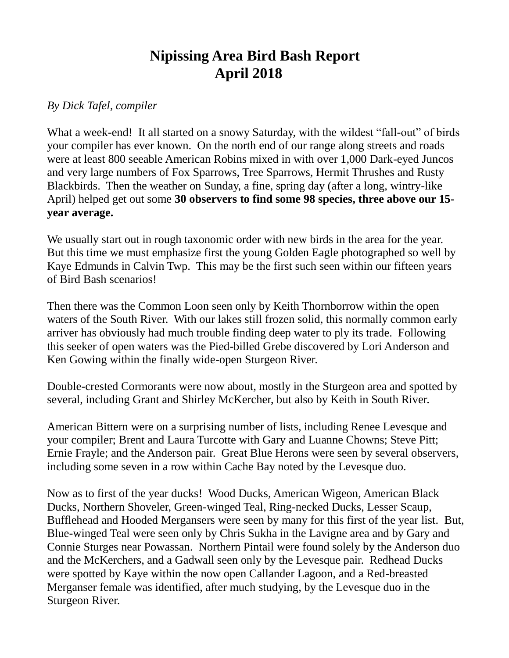## **Nipissing Area Bird Bash Report April 2018**

## *By Dick Tafel, compiler*

What a week-end! It all started on a snowy Saturday, with the wildest "fall-out" of birds your compiler has ever known. On the north end of our range along streets and roads were at least 800 seeable American Robins mixed in with over 1,000 Dark-eyed Juncos and very large numbers of Fox Sparrows, Tree Sparrows, Hermit Thrushes and Rusty Blackbirds. Then the weather on Sunday, a fine, spring day (after a long, wintry-like April) helped get out some **30 observers to find some 98 species, three above our 15 year average.**

We usually start out in rough taxonomic order with new birds in the area for the year. But this time we must emphasize first the young Golden Eagle photographed so well by Kaye Edmunds in Calvin Twp. This may be the first such seen within our fifteen years of Bird Bash scenarios!

Then there was the Common Loon seen only by Keith Thornborrow within the open waters of the South River. With our lakes still frozen solid, this normally common early arriver has obviously had much trouble finding deep water to ply its trade. Following this seeker of open waters was the Pied-billed Grebe discovered by Lori Anderson and Ken Gowing within the finally wide-open Sturgeon River.

Double-crested Cormorants were now about, mostly in the Sturgeon area and spotted by several, including Grant and Shirley McKercher, but also by Keith in South River.

American Bittern were on a surprising number of lists, including Renee Levesque and your compiler; Brent and Laura Turcotte with Gary and Luanne Chowns; Steve Pitt; Ernie Frayle; and the Anderson pair. Great Blue Herons were seen by several observers, including some seven in a row within Cache Bay noted by the Levesque duo.

Now as to first of the year ducks! Wood Ducks, American Wigeon, American Black Ducks, Northern Shoveler, Green-winged Teal, Ring-necked Ducks, Lesser Scaup, Bufflehead and Hooded Mergansers were seen by many for this first of the year list. But, Blue-winged Teal were seen only by Chris Sukha in the Lavigne area and by Gary and Connie Sturges near Powassan. Northern Pintail were found solely by the Anderson duo and the McKerchers, and a Gadwall seen only by the Levesque pair. Redhead Ducks were spotted by Kaye within the now open Callander Lagoon, and a Red-breasted Merganser female was identified, after much studying, by the Levesque duo in the Sturgeon River.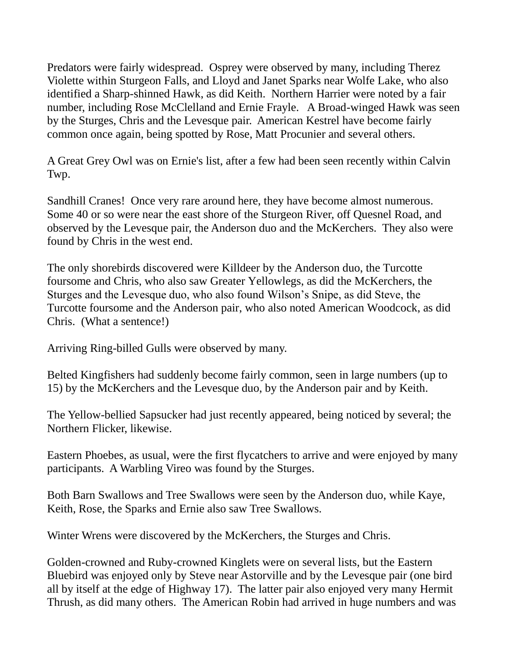Predators were fairly widespread. Osprey were observed by many, including Therez Violette within Sturgeon Falls, and Lloyd and Janet Sparks near Wolfe Lake, who also identified a Sharp-shinned Hawk, as did Keith. Northern Harrier were noted by a fair number, including Rose McClelland and Ernie Frayle. A Broad-winged Hawk was seen by the Sturges, Chris and the Levesque pair. American Kestrel have become fairly common once again, being spotted by Rose, Matt Procunier and several others.

A Great Grey Owl was on Ernie's list, after a few had been seen recently within Calvin Twp.

Sandhill Cranes! Once very rare around here, they have become almost numerous. Some 40 or so were near the east shore of the Sturgeon River, off Quesnel Road, and observed by the Levesque pair, the Anderson duo and the McKerchers. They also were found by Chris in the west end.

The only shorebirds discovered were Killdeer by the Anderson duo, the Turcotte foursome and Chris, who also saw Greater Yellowlegs, as did the McKerchers, the Sturges and the Levesque duo, who also found Wilson's Snipe, as did Steve, the Turcotte foursome and the Anderson pair, who also noted American Woodcock, as did Chris. (What a sentence!)

Arriving Ring-billed Gulls were observed by many.

Belted Kingfishers had suddenly become fairly common, seen in large numbers (up to 15) by the McKerchers and the Levesque duo, by the Anderson pair and by Keith.

The Yellow-bellied Sapsucker had just recently appeared, being noticed by several; the Northern Flicker, likewise.

Eastern Phoebes, as usual, were the first flycatchers to arrive and were enjoyed by many participants. A Warbling Vireo was found by the Sturges.

Both Barn Swallows and Tree Swallows were seen by the Anderson duo, while Kaye, Keith, Rose, the Sparks and Ernie also saw Tree Swallows.

Winter Wrens were discovered by the McKerchers, the Sturges and Chris.

Golden-crowned and Ruby-crowned Kinglets were on several lists, but the Eastern Bluebird was enjoyed only by Steve near Astorville and by the Levesque pair (one bird all by itself at the edge of Highway 17). The latter pair also enjoyed very many Hermit Thrush, as did many others. The American Robin had arrived in huge numbers and was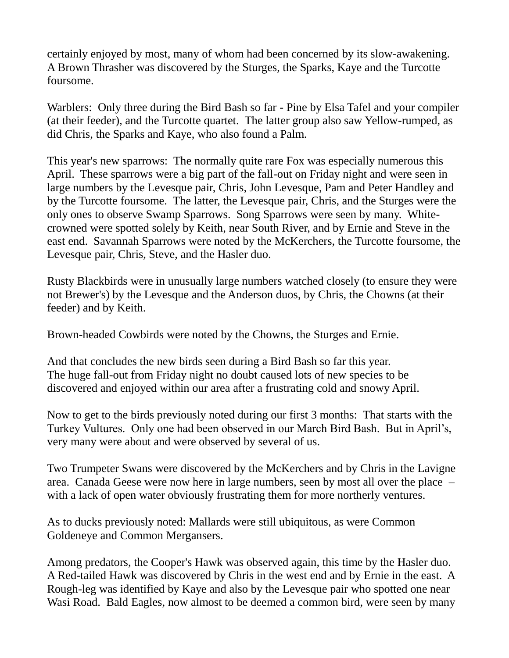certainly enjoyed by most, many of whom had been concerned by its slow-awakening. A Brown Thrasher was discovered by the Sturges, the Sparks, Kaye and the Turcotte foursome.

Warblers: Only three during the Bird Bash so far - Pine by Elsa Tafel and your compiler (at their feeder), and the Turcotte quartet. The latter group also saw Yellow-rumped, as did Chris, the Sparks and Kaye, who also found a Palm.

This year's new sparrows: The normally quite rare Fox was especially numerous this April. These sparrows were a big part of the fall-out on Friday night and were seen in large numbers by the Levesque pair, Chris, John Levesque, Pam and Peter Handley and by the Turcotte foursome. The latter, the Levesque pair, Chris, and the Sturges were the only ones to observe Swamp Sparrows. Song Sparrows were seen by many. Whitecrowned were spotted solely by Keith, near South River, and by Ernie and Steve in the east end. Savannah Sparrows were noted by the McKerchers, the Turcotte foursome, the Levesque pair, Chris, Steve, and the Hasler duo.

Rusty Blackbirds were in unusually large numbers watched closely (to ensure they were not Brewer's) by the Levesque and the Anderson duos, by Chris, the Chowns (at their feeder) and by Keith.

Brown-headed Cowbirds were noted by the Chowns, the Sturges and Ernie.

And that concludes the new birds seen during a Bird Bash so far this year. The huge fall-out from Friday night no doubt caused lots of new species to be discovered and enjoyed within our area after a frustrating cold and snowy April.

Now to get to the birds previously noted during our first 3 months: That starts with the Turkey Vultures. Only one had been observed in our March Bird Bash. But in April's, very many were about and were observed by several of us.

Two Trumpeter Swans were discovered by the McKerchers and by Chris in the Lavigne area. Canada Geese were now here in large numbers, seen by most all over the place – with a lack of open water obviously frustrating them for more northerly ventures.

As to ducks previously noted: Mallards were still ubiquitous, as were Common Goldeneye and Common Mergansers.

Among predators, the Cooper's Hawk was observed again, this time by the Hasler duo. A Red-tailed Hawk was discovered by Chris in the west end and by Ernie in the east. A Rough-leg was identified by Kaye and also by the Levesque pair who spotted one near Wasi Road. Bald Eagles, now almost to be deemed a common bird, were seen by many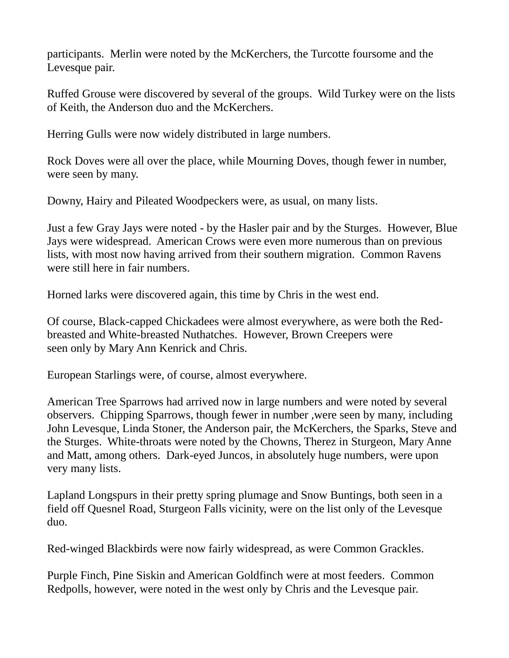participants. Merlin were noted by the McKerchers, the Turcotte foursome and the Levesque pair.

Ruffed Grouse were discovered by several of the groups. Wild Turkey were on the lists of Keith, the Anderson duo and the McKerchers.

Herring Gulls were now widely distributed in large numbers.

Rock Doves were all over the place, while Mourning Doves, though fewer in number, were seen by many.

Downy, Hairy and Pileated Woodpeckers were, as usual, on many lists.

Just a few Gray Jays were noted - by the Hasler pair and by the Sturges. However, Blue Jays were widespread. American Crows were even more numerous than on previous lists, with most now having arrived from their southern migration. Common Ravens were still here in fair numbers.

Horned larks were discovered again, this time by Chris in the west end.

Of course, Black-capped Chickadees were almost everywhere, as were both the Redbreasted and White-breasted Nuthatches. However, Brown Creepers were seen only by Mary Ann Kenrick and Chris.

European Starlings were, of course, almost everywhere.

American Tree Sparrows had arrived now in large numbers and were noted by several observers. Chipping Sparrows, though fewer in number ,were seen by many, including John Levesque, Linda Stoner, the Anderson pair, the McKerchers, the Sparks, Steve and the Sturges. White-throats were noted by the Chowns, Therez in Sturgeon, Mary Anne and Matt, among others. Dark-eyed Juncos, in absolutely huge numbers, were upon very many lists.

Lapland Longspurs in their pretty spring plumage and Snow Buntings, both seen in a field off Quesnel Road, Sturgeon Falls vicinity, were on the list only of the Levesque duo.

Red-winged Blackbirds were now fairly widespread, as were Common Grackles.

Purple Finch, Pine Siskin and American Goldfinch were at most feeders. Common Redpolls, however, were noted in the west only by Chris and the Levesque pair.